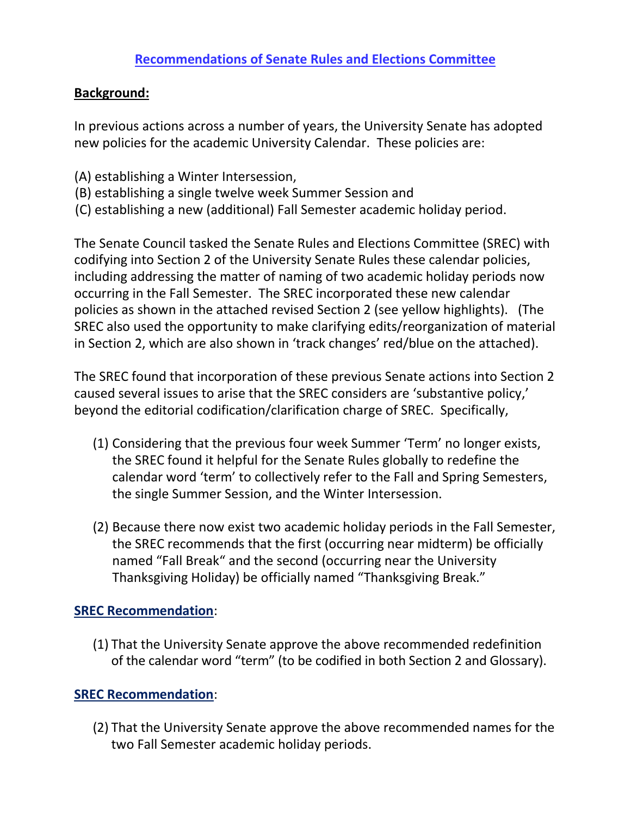## **Background:**

In previous actions across a number of years, the University Senate has adopted new policies for the academic University Calendar. These policies are:

- (A) establishing a Winter Intersession,
- (B) establishing a single twelve week Summer Session and
- (C) establishing a new (additional) Fall Semester academic holiday period.

The Senate Council tasked the Senate Rules and Elections Committee (SREC) with codifying into Section 2 of the University Senate Rules these calendar policies, including addressing the matter of naming of two academic holiday periods now occurring in the Fall Semester. The SREC incorporated these new calendar policies as shown in the attached revised Section 2 (see yellow highlights). (The SREC also used the opportunity to make clarifying edits/reorganization of material in Section 2, which are also shown in 'track changes' red/blue on the attached).

The SREC found that incorporation of these previous Senate actions into Section 2 caused several issues to arise that the SREC considers are 'substantive policy,' beyond the editorial codification/clarification charge of SREC. Specifically,

- (1) Considering that the previous four week Summer 'Term' no longer exists, the SREC found it helpful for the Senate Rules globally to redefine the calendar word 'term' to collectively refer to the Fall and Spring Semesters, the single Summer Session, and the Winter Intersession.
- (2) Because there now exist two academic holiday periods in the Fall Semester, the SREC recommends that the first (occurring near midterm) be officially named "Fall Break" and the second (occurring near the University Thanksgiving Holiday) be officially named "Thanksgiving Break."

# **SREC Recommendation**:

(1) That the University Senate approve the above recommended redefinition of the calendar word "term" (to be codified in both Section 2 and Glossary).

# **SREC Recommendation**:

(2) That the University Senate approve the above recommended names for the two Fall Semester academic holiday periods.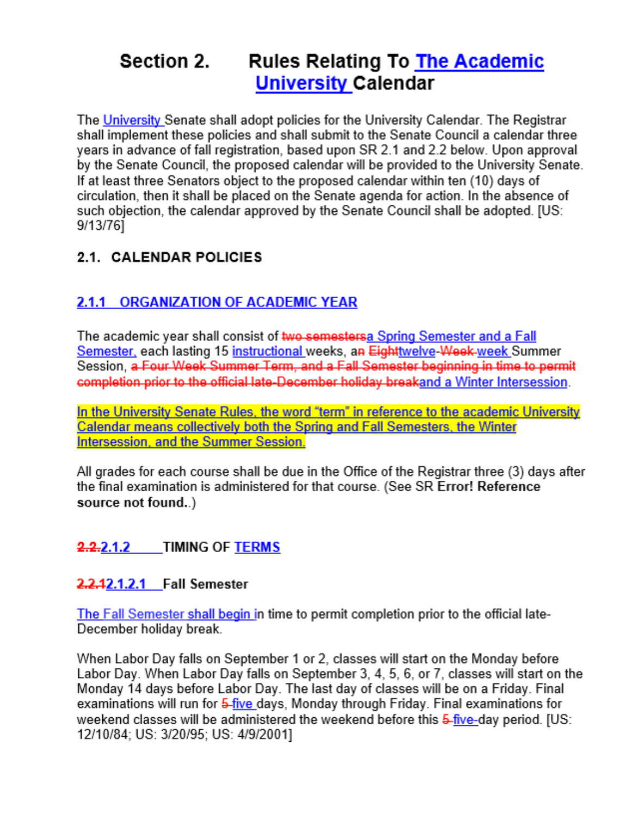### Section 2. **Rules Relating To The Academic University Calendar**

The University Senate shall adopt policies for the University Calendar. The Registrar shall implement these policies and shall submit to the Senate Council a calendar three years in advance of fall registration, based upon SR 2.1 and 2.2 below. Upon approval by the Senate Council, the proposed calendar will be provided to the University Senate. If at least three Senators object to the proposed calendar within ten (10) days of circulation, then it shall be placed on the Senate agenda for action. In the absence of such objection, the calendar approved by the Senate Council shall be adopted. [US: 9/13/76]

# 2.1. CALENDAR POLICIES

# 2.1.1 ORGANIZATION OF ACADEMIC YEAR

The academic year shall consist of two semestersa Spring Semester and a Fall Semester, each lasting 15 instructional weeks, an Eighttwelve-Week-week Summer Session, a Four Week Summer Term, and a Fall Semester beginning in time to permit completion prior to the official late-December holiday breakand a Winter Intersession.

In the University Senate Rules, the word "term" in reference to the academic University Calendar means collectively both the Spring and Fall Semesters, the Winter Intersession, and the Summer Session.

All grades for each course shall be due in the Office of the Registrar three (3) days after the final examination is administered for that course. (See SR Error! Reference source not found..)

# 2.2.2.1.2 TIMING OF TERMS

# 2.2.12.1.2.1 Fall Semester

The Fall Semester shall begin in time to permit completion prior to the official late-December holiday break.

When Labor Day falls on September 1 or 2, classes will start on the Monday before Labor Day. When Labor Day falls on September 3, 4, 5, 6, or 7, classes will start on the Monday 14 days before Labor Day. The last day of classes will be on a Friday. Final examinations will run for 5-five days, Monday through Friday. Final examinations for weekend classes will be administered the weekend before this 5-five-day period. [US: 12/10/84; US: 3/20/95; US: 4/9/2001]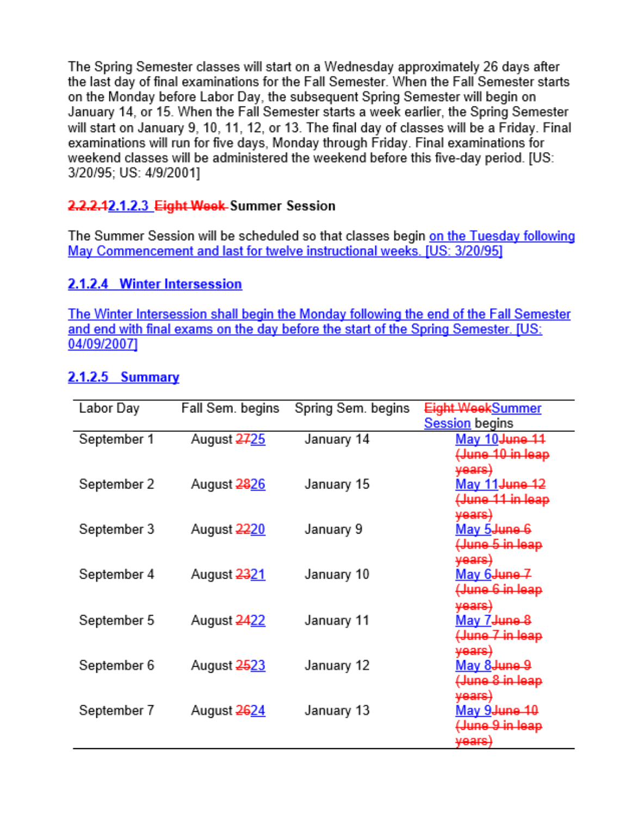The Spring Semester classes will start on a Wednesday approximately 26 days after the last day of final examinations for the Fall Semester. When the Fall Semester starts on the Monday before Labor Day, the subsequent Spring Semester will begin on January 14, or 15. When the Fall Semester starts a week earlier, the Spring Semester will start on January 9, 10, 11, 12, or 13. The final day of classes will be a Friday. Final examinations will run for five days, Monday through Friday. Final examinations for weekend classes will be administered the weekend before this five-day period. [US: 3/20/95; US: 4/9/2001]

# 2.2.2.42.1.2.3 Eight Week-Summer Session

The Summer Session will be scheduled so that classes begin on the Tuesday following May Commencement and last for twelve instructional weeks. [US: 3/20/95]

# 2.1.2.4 Winter Intersession

The Winter Intersession shall begin the Monday following the end of the Fall Semester and end with final exams on the day before the start of the Spring Semester. [US: 04/09/2007]

# $2.1.2.5$  Summary

| Labor Day   | Fall Sem. begins | Spring Sem. begins | Eight WeekSummer           |
|-------------|------------------|--------------------|----------------------------|
|             |                  |                    | <b>Session</b> begins      |
| September 1 | August 2725      | January 14         | May 10 <del>June 1</del> 1 |
|             |                  |                    | (June 10 in leap           |
|             |                  |                    | <del>vears)</del>          |
| September 2 | August 2826      | January 15         | <u>May 11 June 12</u>      |
|             |                  |                    | (June 11 in leap           |
|             |                  |                    | <del>vears)</del>          |
| September 3 | August 2220      | January 9          | May 5 <del>June 6</del>    |
|             |                  |                    | (June 5 in leap            |
|             |                  |                    | <del>vears)</del>          |
| September 4 | August 2321      | January 10         | May 6 <del>June 7</del>    |
|             |                  |                    | (June 6 in leap            |
|             |                  |                    | <del>years)</del>          |
| September 5 | August 2422      | January 11         | May 7 June 8               |
|             |                  |                    | <del>(June 7 in leap</del> |
|             |                  |                    | <del>years)</del>          |
| September 6 | August 2523      | January 12         | May 8 <del>June</del> 9    |
|             |                  |                    | <del>(June 8 in leap</del> |
|             |                  |                    | <del>vears)</del>          |
| September 7 | August 2624      | January 13         | <u>May 9June 10</u>        |
|             |                  |                    | (June 9 in leap            |
|             |                  |                    | <del>vears</del> )         |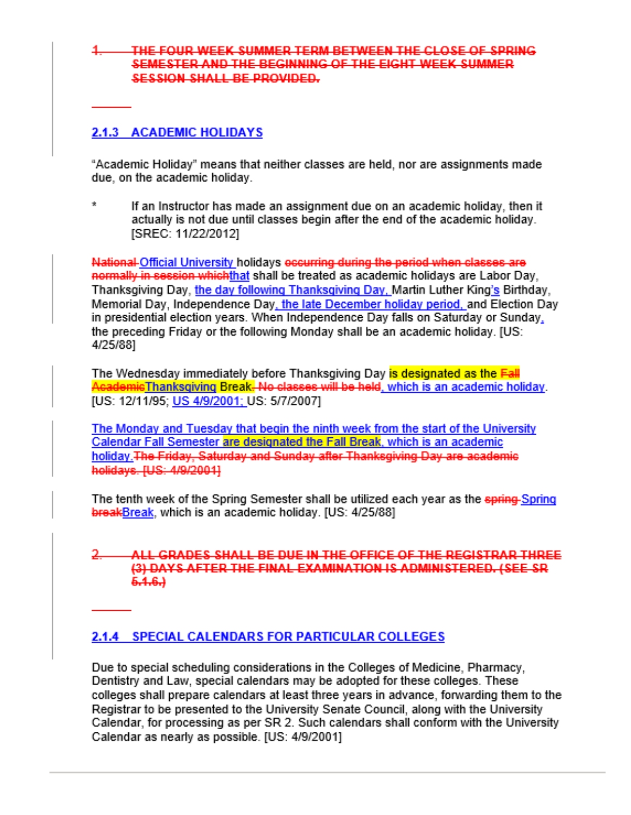#### THE FOUR WEEK SUMMER TERM BETWEEN THE CLOSE OF SPRING SEMESTER AND THE BEGINNING OF THE EIGHT WEEK SUMMER. SESSION SHALL BE PROVIDED.

#### 2.1.3 ACADEMIC HOLIDAYS

"Academic Holiday" means that neither classes are held, nor are assignments made due, on the academic holiday.

 $\dot{\mathbf{x}}$ If an Instructor has made an assignment due on an academic holiday, then it actually is not due until classes begin after the end of the academic holiday. ISREC: 11/22/20121

National Official University holidays occurring during the period when classes are normally in session which that shall be treated as academic holidays are Labor Day, Thanksgiving Day, the day following Thanksgiving Day, Martin Luther King's Birthday, Memorial Day, Independence Day, the late December holiday period, and Election Day in presidential election years. When Independence Day falls on Saturday or Sunday, the preceding Friday or the following Monday shall be an academic holiday. [US: 4/25/88]

The Wednesday immediately before Thanksgiving Day is designated as the Eall AcademicThanksgiving Break. No classes will be held, which is an academic holiday. [US: 12/11/95; US 4/9/2001; US: 5/7/2007]

The Monday and Tuesday that begin the ninth week from the start of the University Calendar Fall Semester are designated the Fall Break, which is an academic holiday. The Friday, Saturday and Sunday after Thanksgiving Day are academic holidays\_IUS: 4/9/20011

The tenth week of the Spring Semester shall be utilized each year as the spring-Spring breakBreak, which is an academic holiday. [US: 4/25/88]

#### ALL GRADES SHALL BE DUE IN THE OFFICE OF THE REGISTRAR THREE (3) DAYS AFTER THE FINAL EXAMINATION IS ADMINISTERED. (SEE SR  $6.4.6$ .)

### 2.1.4 SPECIAL CALENDARS FOR PARTICULAR COLLEGES

Due to special scheduling considerations in the Colleges of Medicine, Pharmacy, Dentistry and Law, special calendars may be adopted for these colleges. These colleges shall prepare calendars at least three years in advance, forwarding them to the Registrar to be presented to the University Senate Council, along with the University Calendar, for processing as per SR 2. Such calendars shall conform with the University Calendar as nearly as possible. [US: 4/9/2001]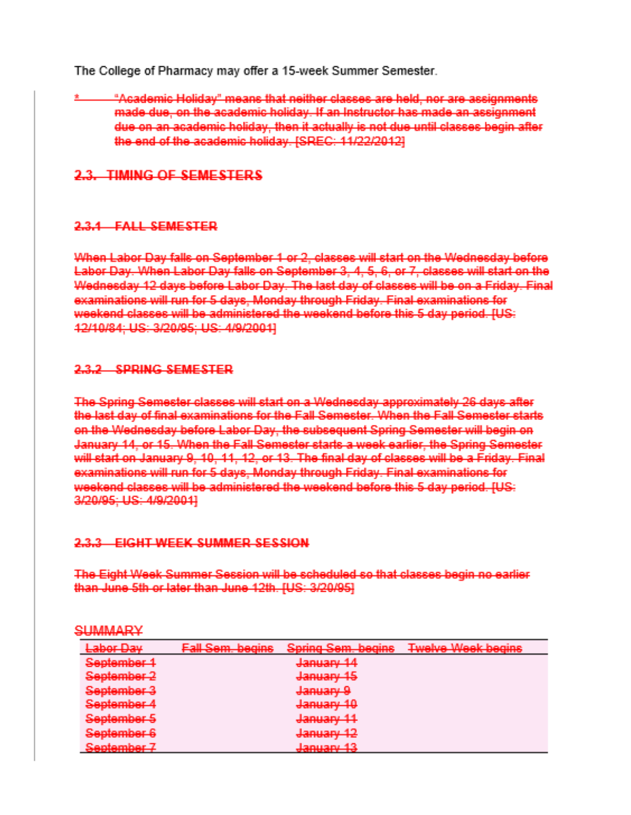The College of Pharmacy may offer a 15-week Summer Semester.

"Academic Holiday" means that neither classes are held, nor are assignments made due, on the academic holiday. If an Instructor has made an assignment due on an academic holiday, then it actually is not due until classes begin after the end of the academic holiday, ISREC: 11/22/2012]

## 2.3. TIMING OF SEMESTERS

#### 2.3.4 EALL SEMESTER

When Labor Day falls on September 1 or 2, classes will start on the Wednesday before Labor Day. When Labor Day falls on September 3, 4, 5, 6, or 7, classes will start on the Wednesday 12 days before Labor Day. The last day of classes will be on a Friday. Final examinations will run for 5 days. Monday through Friday. Final examinations for weekend classes will be administered the weekend before this 5 day period. IUS: 12/10/84: US: 3/20/95: US: 4/9/2001]

#### 2.3.2 SPRING SEMESTER

The Spring Semester classes will start on a Wednesday approximately 26 days after the last day of final examinations for the Fall Semester. When the Fall Semester starts on the Wednesday before Labor Day, the subsequent Spring Semester will begin on January 14, or 15. When the Fall Semester starts a week earlier, the Spring Semester will start on January 9, 10, 11, 12, or 13. The final day of classes will be a Friday. Final examinations will run for 5 days, Monday through Friday. Final examinations for weekend classes will be administered the weekend before this 5 day period. IUS: 3/20/95; US: 4/9/2001]

### 2.3.3 EIGHT WEEK SUMMER SESSION

The Eight Week Summer Session will be scheduled so that classes begin no earlier than June 5th or later than June 12th. [US: 3/20/95]

| ٠<br> |  |  |
|-------|--|--|

| Labor Day                                                                      | <b>Fall Sem. begins</b> | Spring Sem. begins                                | <b>Twelve Week begins</b> |
|--------------------------------------------------------------------------------|-------------------------|---------------------------------------------------|---------------------------|
| September 1                                                                    |                         | January 14                                        |                           |
| September 2                                                                    |                         | January 15                                        |                           |
| September 3                                                                    |                         | January 9                                         |                           |
| September 4                                                                    |                         | January 10                                        |                           |
| September 5                                                                    |                         | January 11                                        |                           |
| September 6                                                                    |                         | January 12                                        |                           |
| Sentember 7<br><b>The construction of the construction of the construction</b> |                         | Tanuang 19<br><b>SCART HIS REPORT OF BUILDING</b> |                           |